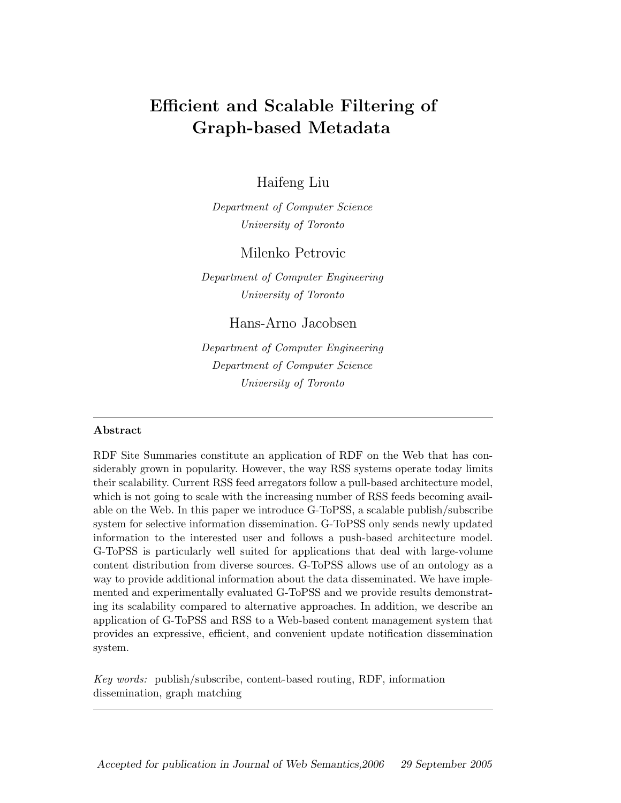# Efficient and Scalable Filtering of Graph-based Metadata

Haifeng Liu

Department of Computer Science University of Toronto

Milenko Petrovic

Department of Computer Engineering University of Toronto

Hans-Arno Jacobsen

Department of Computer Engineering Department of Computer Science University of Toronto

#### Abstract

RDF Site Summaries constitute an application of RDF on the Web that has considerably grown in popularity. However, the way RSS systems operate today limits their scalability. Current RSS feed arregators follow a pull-based architecture model, which is not going to scale with the increasing number of RSS feeds becoming available on the Web. In this paper we introduce G-ToPSS, a scalable publish/subscribe system for selective information dissemination. G-ToPSS only sends newly updated information to the interested user and follows a push-based architecture model. G-ToPSS is particularly well suited for applications that deal with large-volume content distribution from diverse sources. G-ToPSS allows use of an ontology as a way to provide additional information about the data disseminated. We have implemented and experimentally evaluated G-ToPSS and we provide results demonstrating its scalability compared to alternative approaches. In addition, we describe an application of G-ToPSS and RSS to a Web-based content management system that provides an expressive, efficient, and convenient update notification dissemination system.

Key words: publish/subscribe, content-based routing, RDF, information dissemination, graph matching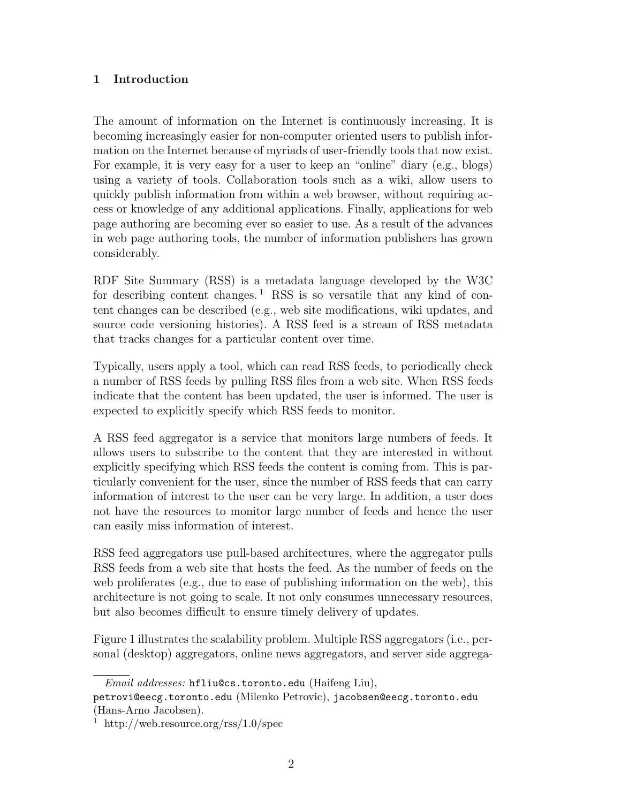# 1 Introduction

The amount of information on the Internet is continuously increasing. It is becoming increasingly easier for non-computer oriented users to publish information on the Internet because of myriads of user-friendly tools that now exist. For example, it is very easy for a user to keep an "online" diary (e.g., blogs) using a variety of tools. Collaboration tools such as a wiki, allow users to quickly publish information from within a web browser, without requiring access or knowledge of any additional applications. Finally, applications for web page authoring are becoming ever so easier to use. As a result of the advances in web page authoring tools, the number of information publishers has grown considerably.

RDF Site Summary (RSS) is a metadata language developed by the W3C for describing content changes.<sup>1</sup> RSS is so versatile that any kind of content changes can be described (e.g., web site modifications, wiki updates, and source code versioning histories). A RSS feed is a stream of RSS metadata that tracks changes for a particular content over time.

Typically, users apply a tool, which can read RSS feeds, to periodically check a number of RSS feeds by pulling RSS files from a web site. When RSS feeds indicate that the content has been updated, the user is informed. The user is expected to explicitly specify which RSS feeds to monitor.

A RSS feed aggregator is a service that monitors large numbers of feeds. It allows users to subscribe to the content that they are interested in without explicitly specifying which RSS feeds the content is coming from. This is particularly convenient for the user, since the number of RSS feeds that can carry information of interest to the user can be very large. In addition, a user does not have the resources to monitor large number of feeds and hence the user can easily miss information of interest.

RSS feed aggregators use pull-based architectures, where the aggregator pulls RSS feeds from a web site that hosts the feed. As the number of feeds on the web proliferates (e.g., due to ease of publishing information on the web), this architecture is not going to scale. It not only consumes unnecessary resources, but also becomes difficult to ensure timely delivery of updates.

Figure 1 illustrates the scalability problem. Multiple RSS aggregators (i.e., personal (desktop) aggregators, online news aggregators, and server side aggrega-

Email addresses: hfliu@cs.toronto.edu (Haifeng Liu),

petrovi@eecg.toronto.edu (Milenko Petrovic), jacobsen@eecg.toronto.edu (Hans-Arno Jacobsen).

<sup>1</sup> http://web.resource.org/rss/1.0/spec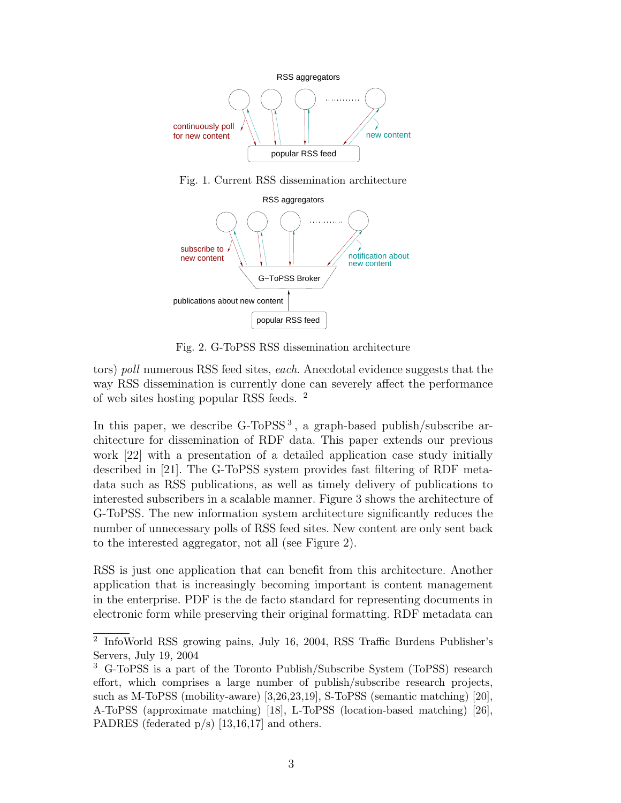

Fig. 1. Current RSS dissemination architecture



Fig. 2. G-ToPSS RSS dissemination architecture

tors) poll numerous RSS feed sites, each. Anecdotal evidence suggests that the way RSS dissemination is currently done can severely affect the performance of web sites hosting popular RSS feeds. <sup>2</sup>

In this paper, we describe G-ToPSS<sup>3</sup>, a graph-based publish/subscribe architecture for dissemination of RDF data. This paper extends our previous work [22] with a presentation of a detailed application case study initially described in [21]. The G-ToPSS system provides fast filtering of RDF metadata such as RSS publications, as well as timely delivery of publications to interested subscribers in a scalable manner. Figure 3 shows the architecture of G-ToPSS. The new information system architecture significantly reduces the number of unnecessary polls of RSS feed sites. New content are only sent back to the interested aggregator, not all (see Figure 2).

RSS is just one application that can benefit from this architecture. Another application that is increasingly becoming important is content management in the enterprise. PDF is the de facto standard for representing documents in electronic form while preserving their original formatting. RDF metadata can

<sup>2</sup> InfoWorld RSS growing pains, July 16, 2004, RSS Traffic Burdens Publisher's Servers, July 19, 2004

<sup>3</sup> G-ToPSS is a part of the Toronto Publish/Subscribe System (ToPSS) research effort, which comprises a large number of publish/subscribe research projects, such as M-ToPSS (mobility-aware) [3,26,23,19], S-ToPSS (semantic matching) [20], A-ToPSS (approximate matching) [18], L-ToPSS (location-based matching) [26], PADRES (federated p/s) [13,16,17] and others.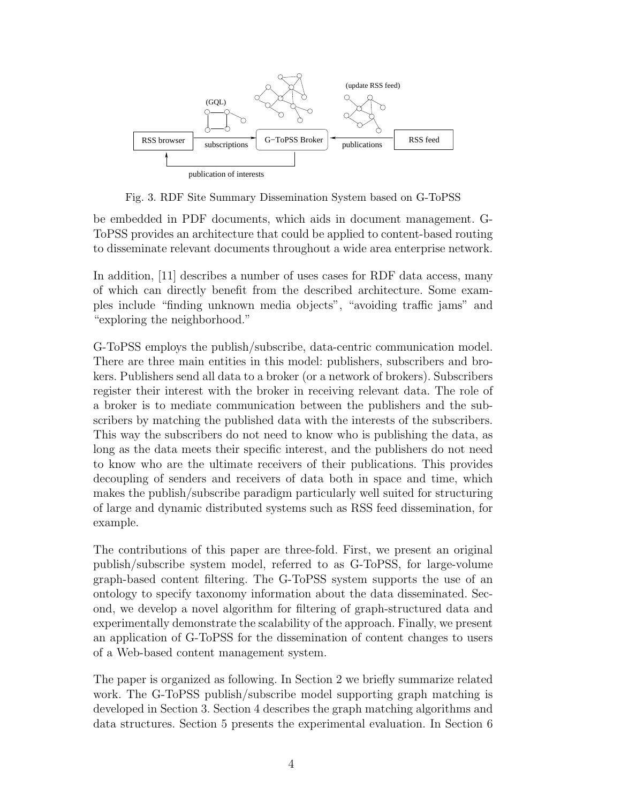

Fig. 3. RDF Site Summary Dissemination System based on G-ToPSS

be embedded in PDF documents, which aids in document management. G-ToPSS provides an architecture that could be applied to content-based routing to disseminate relevant documents throughout a wide area enterprise network.

In addition, [11] describes a number of uses cases for RDF data access, many of which can directly benefit from the described architecture. Some examples include "finding unknown media objects", "avoiding traffic jams" and "exploring the neighborhood."

G-ToPSS employs the publish/subscribe, data-centric communication model. There are three main entities in this model: publishers, subscribers and brokers. Publishers send all data to a broker (or a network of brokers). Subscribers register their interest with the broker in receiving relevant data. The role of a broker is to mediate communication between the publishers and the subscribers by matching the published data with the interests of the subscribers. This way the subscribers do not need to know who is publishing the data, as long as the data meets their specific interest, and the publishers do not need to know who are the ultimate receivers of their publications. This provides decoupling of senders and receivers of data both in space and time, which makes the publish/subscribe paradigm particularly well suited for structuring of large and dynamic distributed systems such as RSS feed dissemination, for example.

The contributions of this paper are three-fold. First, we present an original publish/subscribe system model, referred to as G-ToPSS, for large-volume graph-based content filtering. The G-ToPSS system supports the use of an ontology to specify taxonomy information about the data disseminated. Second, we develop a novel algorithm for filtering of graph-structured data and experimentally demonstrate the scalability of the approach. Finally, we present an application of G-ToPSS for the dissemination of content changes to users of a Web-based content management system.

The paper is organized as following. In Section 2 we briefly summarize related work. The G-ToPSS publish/subscribe model supporting graph matching is developed in Section 3. Section 4 describes the graph matching algorithms and data structures. Section 5 presents the experimental evaluation. In Section 6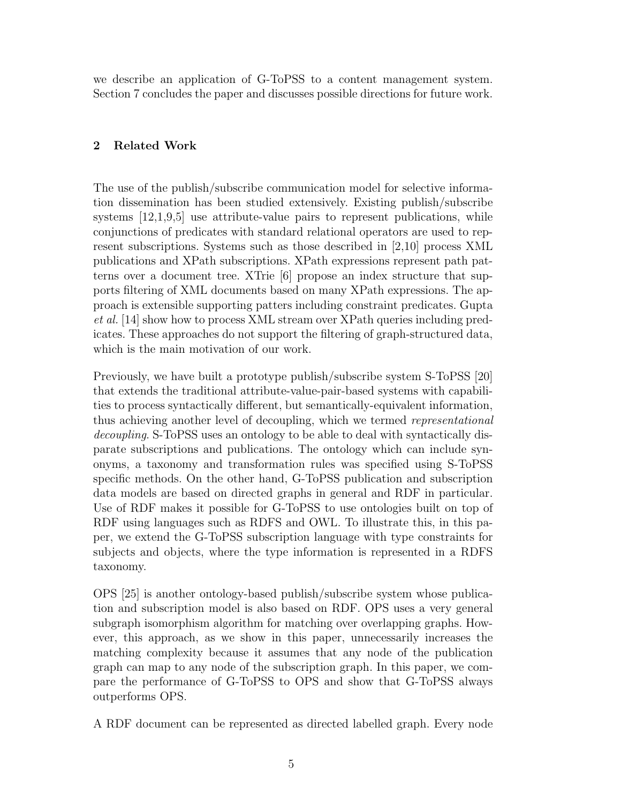we describe an application of G-ToPSS to a content management system. Section 7 concludes the paper and discusses possible directions for future work.

# 2 Related Work

The use of the publish/subscribe communication model for selective information dissemination has been studied extensively. Existing publish/subscribe systems [12,1,9,5] use attribute-value pairs to represent publications, while conjunctions of predicates with standard relational operators are used to represent subscriptions. Systems such as those described in [2,10] process XML publications and XPath subscriptions. XPath expressions represent path patterns over a document tree. XTrie [6] propose an index structure that supports filtering of XML documents based on many XPath expressions. The approach is extensible supporting patters including constraint predicates. Gupta et al. [14] show how to process XML stream over XPath queries including predicates. These approaches do not support the filtering of graph-structured data, which is the main motivation of our work.

Previously, we have built a prototype publish/subscribe system S-ToPSS [20] that extends the traditional attribute-value-pair-based systems with capabilities to process syntactically different, but semantically-equivalent information, thus achieving another level of decoupling, which we termed *representational* decoupling. S-ToPSS uses an ontology to be able to deal with syntactically disparate subscriptions and publications. The ontology which can include synonyms, a taxonomy and transformation rules was specified using S-ToPSS specific methods. On the other hand, G-ToPSS publication and subscription data models are based on directed graphs in general and RDF in particular. Use of RDF makes it possible for G-ToPSS to use ontologies built on top of RDF using languages such as RDFS and OWL. To illustrate this, in this paper, we extend the G-ToPSS subscription language with type constraints for subjects and objects, where the type information is represented in a RDFS taxonomy.

OPS [25] is another ontology-based publish/subscribe system whose publication and subscription model is also based on RDF. OPS uses a very general subgraph isomorphism algorithm for matching over overlapping graphs. However, this approach, as we show in this paper, unnecessarily increases the matching complexity because it assumes that any node of the publication graph can map to any node of the subscription graph. In this paper, we compare the performance of G-ToPSS to OPS and show that G-ToPSS always outperforms OPS.

A RDF document can be represented as directed labelled graph. Every node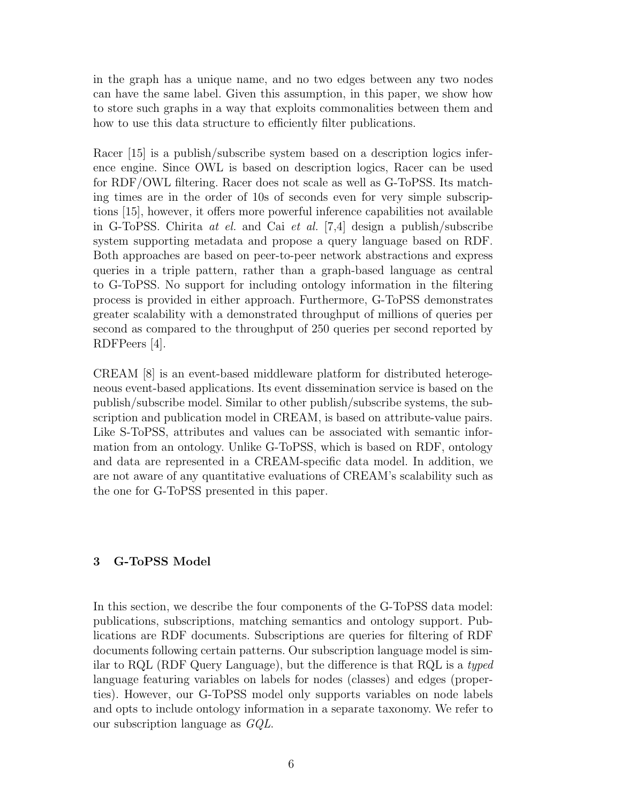in the graph has a unique name, and no two edges between any two nodes can have the same label. Given this assumption, in this paper, we show how to store such graphs in a way that exploits commonalities between them and how to use this data structure to efficiently filter publications.

Racer [15] is a publish/subscribe system based on a description logics inference engine. Since OWL is based on description logics, Racer can be used for RDF/OWL filtering. Racer does not scale as well as G-ToPSS. Its matching times are in the order of 10s of seconds even for very simple subscriptions [15], however, it offers more powerful inference capabilities not available in G-ToPSS. Chirita at el. and Cai et al. [7,4] design a publish/subscribe system supporting metadata and propose a query language based on RDF. Both approaches are based on peer-to-peer network abstractions and express queries in a triple pattern, rather than a graph-based language as central to G-ToPSS. No support for including ontology information in the filtering process is provided in either approach. Furthermore, G-ToPSS demonstrates greater scalability with a demonstrated throughput of millions of queries per second as compared to the throughput of 250 queries per second reported by RDFPeers [4].

CREAM [8] is an event-based middleware platform for distributed heterogeneous event-based applications. Its event dissemination service is based on the publish/subscribe model. Similar to other publish/subscribe systems, the subscription and publication model in CREAM, is based on attribute-value pairs. Like S-ToPSS, attributes and values can be associated with semantic information from an ontology. Unlike G-ToPSS, which is based on RDF, ontology and data are represented in a CREAM-specific data model. In addition, we are not aware of any quantitative evaluations of CREAM's scalability such as the one for G-ToPSS presented in this paper.

## 3 G-ToPSS Model

In this section, we describe the four components of the G-ToPSS data model: publications, subscriptions, matching semantics and ontology support. Publications are RDF documents. Subscriptions are queries for filtering of RDF documents following certain patterns. Our subscription language model is similar to RQL (RDF Query Language), but the difference is that RQL is a typed language featuring variables on labels for nodes (classes) and edges (properties). However, our G-ToPSS model only supports variables on node labels and opts to include ontology information in a separate taxonomy. We refer to our subscription language as GQL.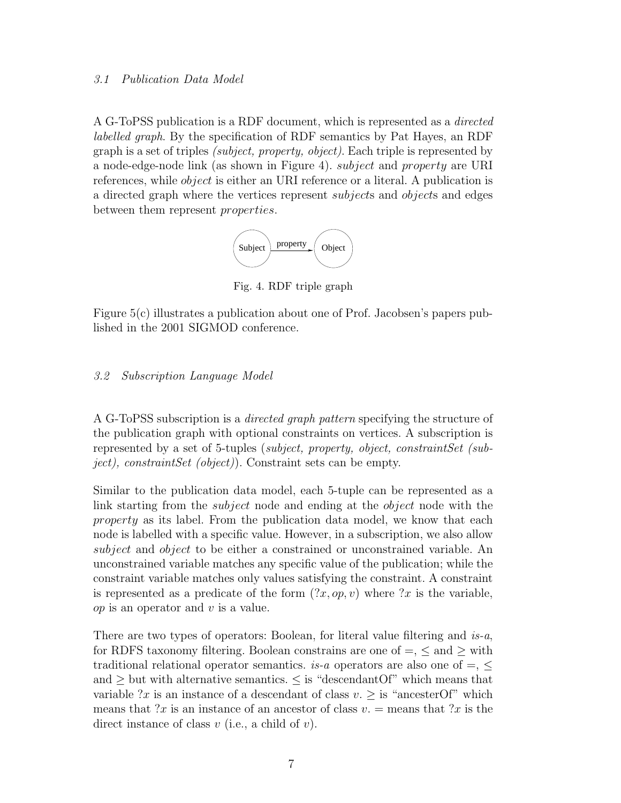#### 3.1 Publication Data Model

A G-ToPSS publication is a RDF document, which is represented as a directed labelled graph. By the specification of RDF semantics by Pat Hayes, an RDF graph is a set of triples (subject, property, object). Each triple is represented by a node-edge-node link (as shown in Figure 4). subject and property are URI references, while object is either an URI reference or a literal. A publication is a directed graph where the vertices represent *subjects* and *objects* and edges between them represent *properties*.



Fig. 4. RDF triple graph

Figure 5(c) illustrates a publication about one of Prof. Jacobsen's papers published in the 2001 SIGMOD conference.

## 3.2 Subscription Language Model

A G-ToPSS subscription is a directed graph pattern specifying the structure of the publication graph with optional constraints on vertices. A subscription is represented by a set of 5-tuples (subject, property, object, constraintSet (subject), constraintSet (object)). Constraint sets can be empty.

Similar to the publication data model, each 5-tuple can be represented as a link starting from the *subject* node and ending at the *object* node with the property as its label. From the publication data model, we know that each node is labelled with a specific value. However, in a subscription, we also allow subject and object to be either a constrained or unconstrained variable. An unconstrained variable matches any specific value of the publication; while the constraint variable matches only values satisfying the constraint. A constraint is represented as a predicate of the form  $(2x, op, v)$  where  $2x$  is the variable,  $op$  is an operator and  $v$  is a value.

There are two types of operators: Boolean, for literal value filtering and is-a, for RDFS taxonomy filtering. Boolean constrains are one of  $=$ ,  $\leq$  and  $\geq$  with traditional relational operator semantics. is-a operators are also one of  $=$ ,  $\leq$ and  $\geq$  but with alternative semantics.  $\leq$  is "descendantOf" which means that variable ?x is an instance of a descendant of class  $v \geq$  is "ancesterOf" which means that ?x is an instance of an ancestor of class  $v =$  means that ?x is the direct instance of class  $v$  (i.e., a child of  $v$ ).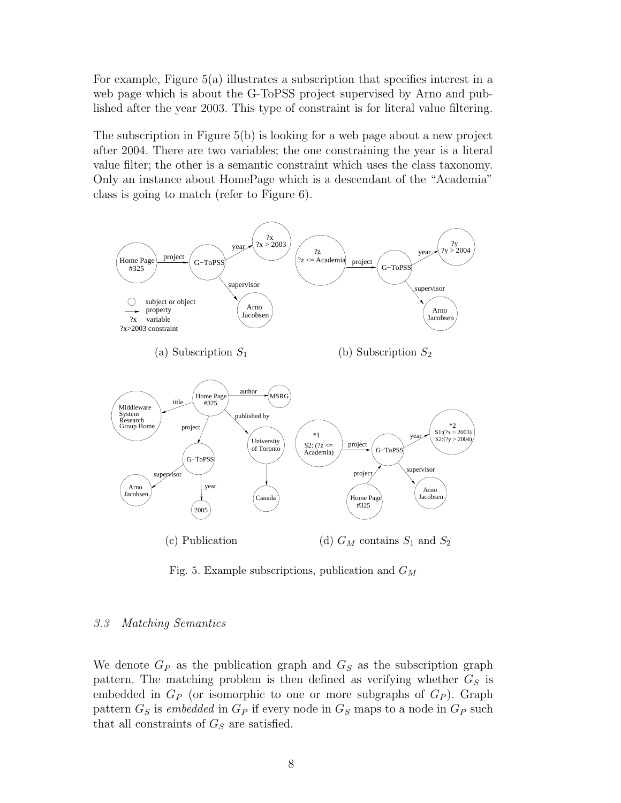For example, Figure 5(a) illustrates a subscription that specifies interest in a web page which is about the G-ToPSS project supervised by Arno and published after the year 2003. This type of constraint is for literal value filtering.

The subscription in Figure 5(b) is looking for a web page about a new project after 2004. There are two variables; the one constraining the year is a literal value filter; the other is a semantic constraint which uses the class taxonomy. Only an instance about HomePage which is a descendant of the "Academia" class is going to match (refer to Figure 6).



Fig. 5. Example subscriptions, publication and  $G_M$ 

#### 3.3 Matching Semantics

We denote  $G_P$  as the publication graph and  $G_S$  as the subscription graph pattern. The matching problem is then defined as verifying whether  $G<sub>S</sub>$  is embedded in  $G_P$  (or isomorphic to one or more subgraphs of  $G_P$ ). Graph pattern  $G_S$  is embedded in  $G_P$  if every node in  $G_S$  maps to a node in  $G_P$  such that all constraints of  $G<sub>S</sub>$  are satisfied.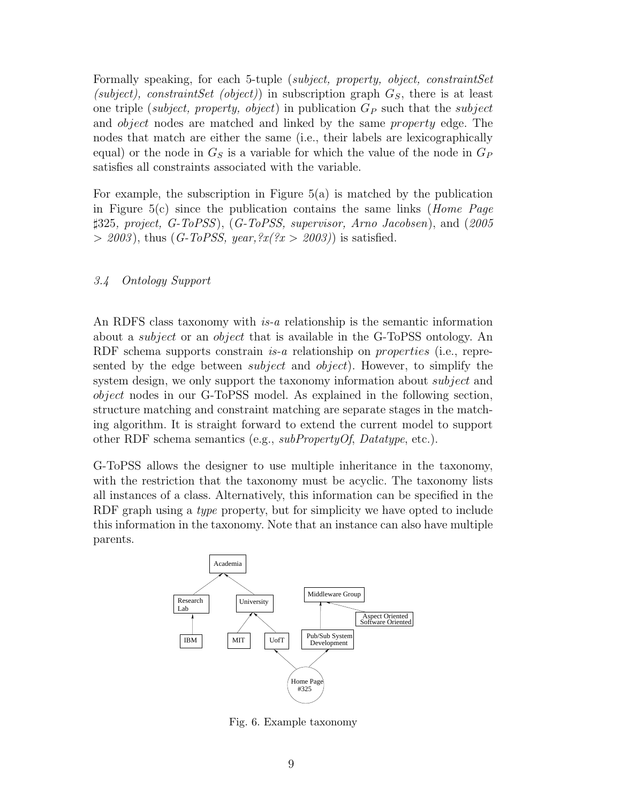Formally speaking, for each 5-tuple *(subject, property, object, constraint Set*) (subject), constraint Set (object)) in subscription graph  $G<sub>S</sub>$ , there is at least one triple (subject, property, object) in publication  $G_P$  such that the subject and object nodes are matched and linked by the same property edge. The nodes that match are either the same (i.e., their labels are lexicographically equal) or the node in  $G<sub>S</sub>$  is a variable for which the value of the node in  $G<sub>P</sub>$ satisfies all constraints associated with the variable.

For example, the subscription in Figure  $5(a)$  is matched by the publication in Figure 5(c) since the publication contains the same links (*Home Page*  $\sharp 325$ , project, G-ToPSS), (G-ToPSS, supervisor, Arno Jacobsen), and (2005)  $> 2003$ , thus (G-ToPSS, year, ?x(?x > 2003)) is satisfied.

## 3.4 Ontology Support

An RDFS class taxonomy with *is-a* relationship is the semantic information about a subject or an object that is available in the G-ToPSS ontology. An RDF schema supports constrain *is-a* relationship on *properties* (i.e., represented by the edge between *subject* and *object*). However, to simplify the system design, we only support the taxonomy information about *subject* and object nodes in our G-ToPSS model. As explained in the following section, structure matching and constraint matching are separate stages in the matching algorithm. It is straight forward to extend the current model to support other RDF schema semantics (e.g., subPropertyOf, Datatype, etc.).

G-ToPSS allows the designer to use multiple inheritance in the taxonomy, with the restriction that the taxonomy must be acyclic. The taxonomy lists all instances of a class. Alternatively, this information can be specified in the RDF graph using a type property, but for simplicity we have opted to include this information in the taxonomy. Note that an instance can also have multiple parents.



Fig. 6. Example taxonomy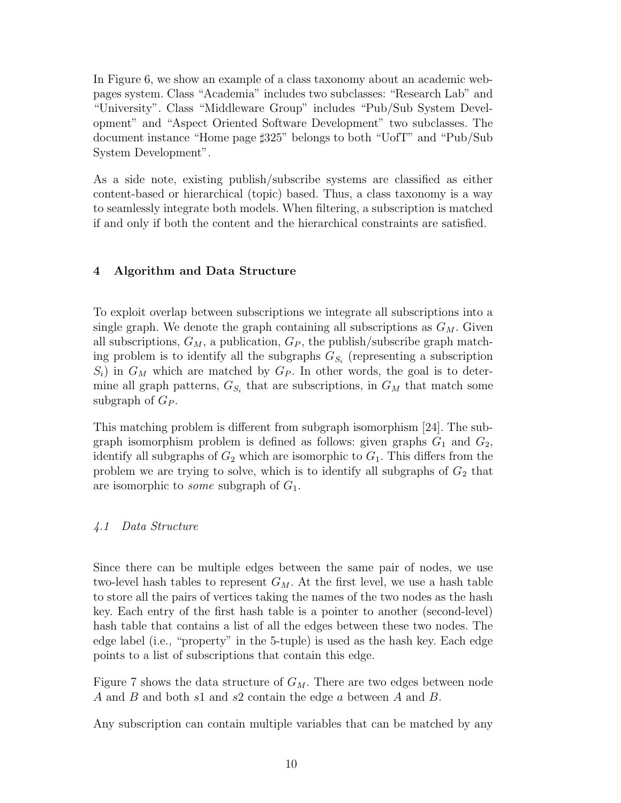In Figure 6, we show an example of a class taxonomy about an academic webpages system. Class "Academia" includes two subclasses: "Research Lab" and "University". Class "Middleware Group" includes "Pub/Sub System Development" and "Aspect Oriented Software Development" two subclasses. The document instance "Home page  $\sharp 325$ " belongs to both "UofT" and "Pub/Sub System Development".

As a side note, existing publish/subscribe systems are classified as either content-based or hierarchical (topic) based. Thus, a class taxonomy is a way to seamlessly integrate both models. When filtering, a subscription is matched if and only if both the content and the hierarchical constraints are satisfied.

# 4 Algorithm and Data Structure

To exploit overlap between subscriptions we integrate all subscriptions into a single graph. We denote the graph containing all subscriptions as  $G_M$ . Given all subscriptions,  $G_M$ , a publication,  $G_P$ , the publish/subscribe graph matching problem is to identify all the subgraphs  $G_{S_i}$  (representing a subscription  $S_i$ ) in  $G_M$  which are matched by  $G_P$ . In other words, the goal is to determine all graph patterns,  $G_{S_i}$  that are subscriptions, in  $G_M$  that match some subgraph of  $G_P$ .

This matching problem is different from subgraph isomorphism [24]. The subgraph isomorphism problem is defined as follows: given graphs  $G_1$  and  $G_2$ , identify all subgraphs of  $G_2$  which are isomorphic to  $G_1$ . This differs from the problem we are trying to solve, which is to identify all subgraphs of  $G_2$  that are isomorphic to *some* subgraph of  $G_1$ .

## 4.1 Data Structure

Since there can be multiple edges between the same pair of nodes, we use two-level hash tables to represent  $G_M$ . At the first level, we use a hash table to store all the pairs of vertices taking the names of the two nodes as the hash key. Each entry of the first hash table is a pointer to another (second-level) hash table that contains a list of all the edges between these two nodes. The edge label (i.e., "property" in the 5-tuple) is used as the hash key. Each edge points to a list of subscriptions that contain this edge.

Figure 7 shows the data structure of  $G_M$ . There are two edges between node A and B and both s1 and s2 contain the edge a between A and B.

Any subscription can contain multiple variables that can be matched by any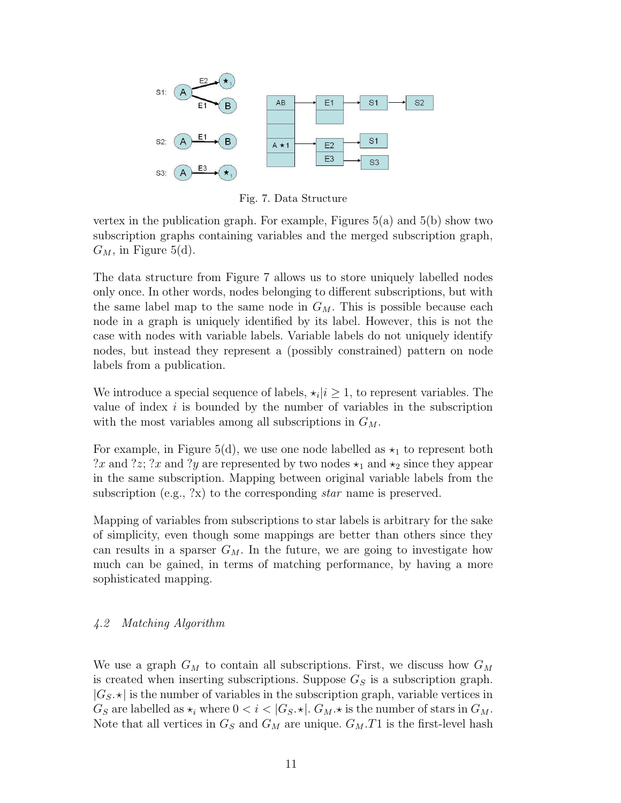

Fig. 7. Data Structure

vertex in the publication graph. For example, Figures  $5(a)$  and  $5(b)$  show two subscription graphs containing variables and the merged subscription graph,  $G_M$ , in Figure 5(d).

The data structure from Figure 7 allows us to store uniquely labelled nodes only once. In other words, nodes belonging to different subscriptions, but with the same label map to the same node in  $G_M$ . This is possible because each node in a graph is uniquely identified by its label. However, this is not the case with nodes with variable labels. Variable labels do not uniquely identify nodes, but instead they represent a (possibly constrained) pattern on node labels from a publication.

We introduce a special sequence of labels,  $\star_i | i \geq 1$ , to represent variables. The value of index  $i$  is bounded by the number of variables in the subscription with the most variables among all subscriptions in  $G_M$ .

For example, in Figure 5(d), we use one node labelled as  $\star_1$  to represent both ?x and ?z; ?x and ?y are represented by two nodes  $\star_1$  and  $\star_2$  since they appear in the same subscription. Mapping between original variable labels from the subscription (e.g., ?x) to the corresponding *star* name is preserved.

Mapping of variables from subscriptions to star labels is arbitrary for the sake of simplicity, even though some mappings are better than others since they can results in a sparser  $G_M$ . In the future, we are going to investigate how much can be gained, in terms of matching performance, by having a more sophisticated mapping.

## 4.2 Matching Algorithm

We use a graph  $G_M$  to contain all subscriptions. First, we discuss how  $G_M$ is created when inserting subscriptions. Suppose  $G<sub>S</sub>$  is a subscription graph.  $|G_S.\star|$  is the number of variables in the subscription graph, variable vertices in  $G_S$  are labelled as  $\star_i$  where  $0 < i < |G_S, \star|$ .  $G_M, \star$  is the number of stars in  $G_M$ . Note that all vertices in  $G<sub>S</sub>$  and  $G<sub>M</sub>$  are unique.  $G<sub>M</sub>$ . T1 is the first-level hash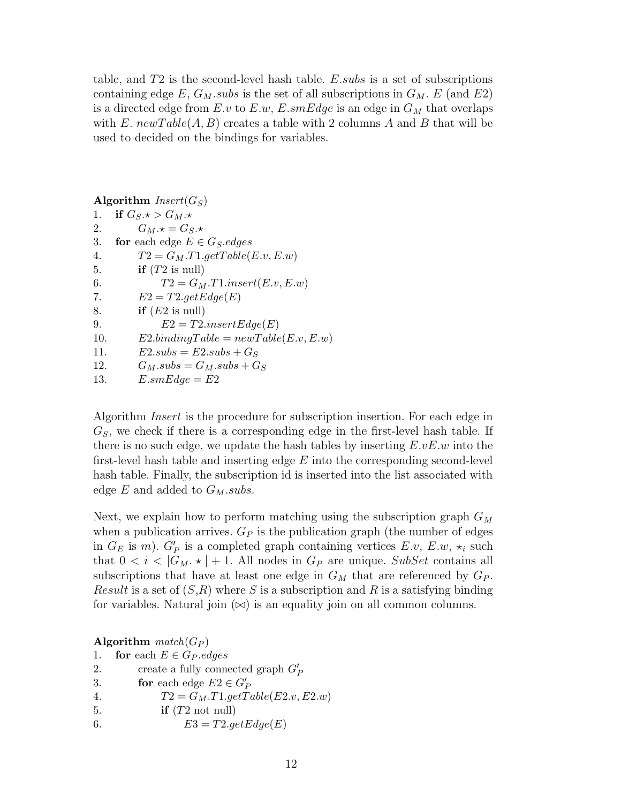table, and  $T2$  is the second-level hash table. Esubs is a set of subscriptions containing edge E,  $G_M$  subs is the set of all subscriptions in  $G_M$ . E (and E2) is a directed edge from E.v to E.w, E.smEdge is an edge in  $G_M$  that overlaps with E.  $newTable(A, B)$  creates a table with 2 columns A and B that will be used to decided on the bindings for variables.

# Algorithm  $Insert(G_S)$

| 1.  | if $G_S.\star > G_M.\star$              |
|-----|-----------------------------------------|
| 2.  | $G_M.*=G_S.*$                           |
| 3.  | for each edge $E \in G_S$ edges         |
| 4.  | $T2 = G_M.T1.getTable(E.v, E.w)$        |
| 5.  | <b>if</b> $(T2$ is null)                |
| 6.  | $T2 = G_M.T1.insert(E.v, E.w)$          |
| 7.  | $E2 = T2.getEdge(E)$                    |
| 8.  | <b>if</b> $(E2 \text{ is null})$        |
| 9.  | $E2 = T2.insertEdge(E)$                 |
| 10. | $E2. bindingTable = newTable(E.v, E.w)$ |
| 11. | $E2.subs = E2.subs + G_S$               |
| 12. | $G_M$ subs = $G_M$ subs + $G_S$         |
| 13. | $E.smEdge = E2$                         |

Algorithm Insert is the procedure for subscription insertion. For each edge in  $G<sub>S</sub>$ , we check if there is a corresponding edge in the first-level hash table. If there is no such edge, we update the hash tables by inserting  $E.vE.w$  into the first-level hash table and inserting edge  $E$  into the corresponding second-level hash table. Finally, the subscription id is inserted into the list associated with edge  $E$  and added to  $G_M$  subs.

Next, we explain how to perform matching using the subscription graph  $G_M$ when a publication arrives.  $G_P$  is the publication graph (the number of edges in  $G_E$  is m).  $G'_P$  is a completed graph containing vertices  $E.v, E.w, \star_i$  such that  $0 < i < |G_M \times | + 1$ . All nodes in  $G_P$  are unique. SubSet contains all subscriptions that have at least one edge in  $G_M$  that are referenced by  $G_P$ . Result is a set of  $(S,R)$  where S is a subscription and R is a satisfying binding for variables. Natural join  $(\infty)$  is an equality join on all common columns.

| Algorithm $match(G_P)$ |                                         |  |  |  |  |  |
|------------------------|-----------------------------------------|--|--|--|--|--|
| 1.                     | for each $E \in G_P$ edges              |  |  |  |  |  |
| 2.                     | create a fully connected graph $G'_{P}$ |  |  |  |  |  |
| 3.                     | for each edge $E2 \in G_P'$             |  |  |  |  |  |
| 4.                     | $T2 = G_M.T1.getTable(E2.v, E2.w)$      |  |  |  |  |  |
| 5.                     | if $(T2 \text{ not null})$              |  |  |  |  |  |
| 6.                     | $E3 = T2.getEdge(E)$                    |  |  |  |  |  |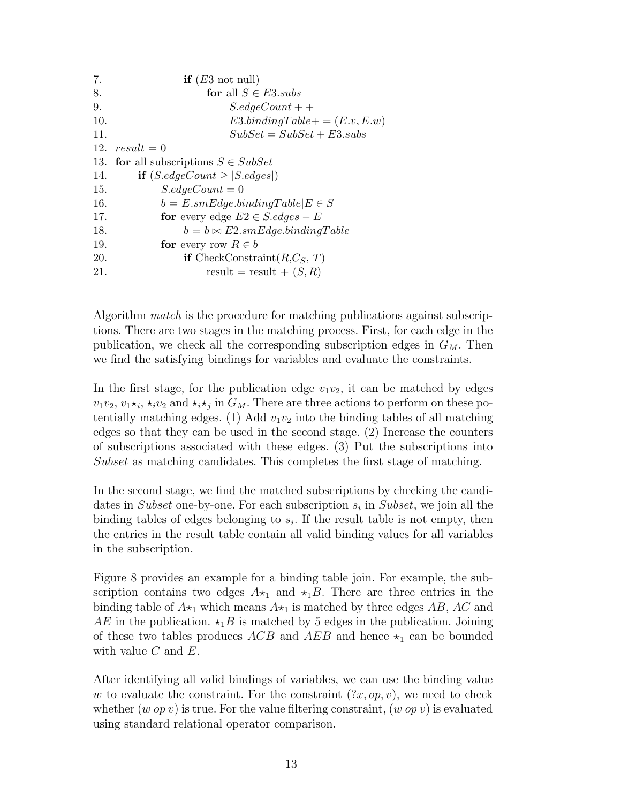```
7. if (E3 \text{ not null})8. for all S \in E3subs9. S. edgeCount + +10. E3. bindingTable + = (E.v, E.w)11. SubSet = SubSet + E3.sub12. result = 013. for all subscriptions S \in SubSet14. if (S. edgeCount \geq |S. edges|)15. S. edgeCount = 016. b = E.\text{sm}E \text{d}q e.\text{binding}T \text{a} \text{b} \text{e} | E \in S17. for every edge E2 \in S. edges - E18. b = b \bowtie E2. smEdge. bindingTable19. for every row R \in b20. if CheckConstraint(R, C_S, T)21. result = result + (S, R)
```
Algorithm *match* is the procedure for matching publications against subscriptions. There are two stages in the matching process. First, for each edge in the publication, we check all the corresponding subscription edges in  $G_M$ . Then we find the satisfying bindings for variables and evaluate the constraints.

In the first stage, for the publication edge  $v_1v_2$ , it can be matched by edges  $v_1v_2, v_1\star_i, \star_i v_2$  and  $\star_i\star_j$  in  $G_M$ . There are three actions to perform on these potentially matching edges. (1) Add  $v_1v_2$  into the binding tables of all matching edges so that they can be used in the second stage. (2) Increase the counters of subscriptions associated with these edges. (3) Put the subscriptions into Subset as matching candidates. This completes the first stage of matching.

In the second stage, we find the matched subscriptions by checking the candidates in Subset one-by-one. For each subscription  $s_i$  in Subset, we join all the binding tables of edges belonging to  $s_i$ . If the result table is not empty, then the entries in the result table contain all valid binding values for all variables in the subscription.

Figure 8 provides an example for a binding table join. For example, the subscription contains two edges  $A\star_1$  and  $\star_1B$ . There are three entries in the binding table of  $A\star_1$  which means  $A\star_1$  is matched by three edges AB, AC and AE in the publication.  $\star_1B$  is matched by 5 edges in the publication. Joining of these two tables produces ACB and AEB and hence  $\star_1$  can be bounded with value  $C$  and  $E$ .

After identifying all valid bindings of variables, we can use the binding value w to evaluate the constraint. For the constraint  $(2x, op, v)$ , we need to check whether (w op v) is true. For the value filtering constraint, (w op v) is evaluated using standard relational operator comparison.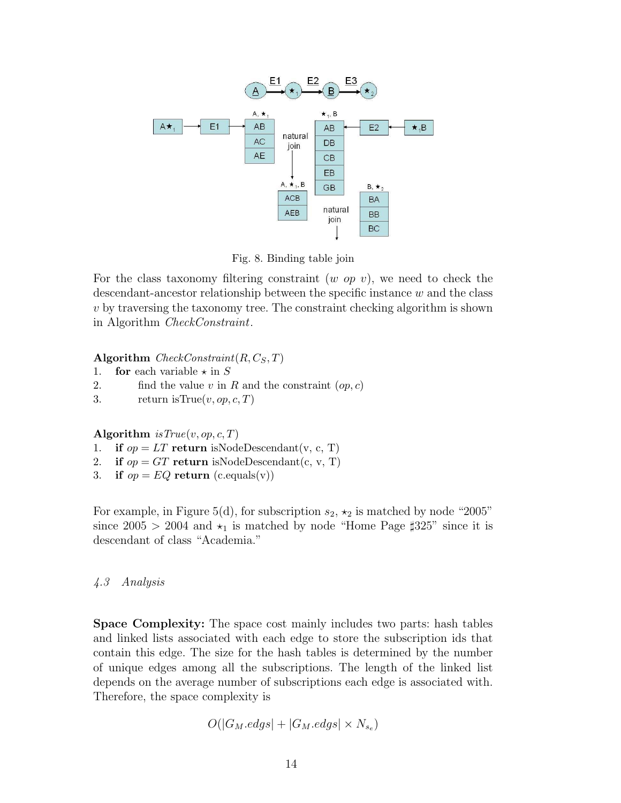

Fig. 8. Binding table join

For the class taxonomy filtering constraint  $(w \text{ op } v)$ , we need to check the descendant-ancestor relationship between the specific instance w and the class v by traversing the taxonomy tree. The constraint checking algorithm is shown in Algorithm CheckConstraint.

#### Algorithm  $CheckConstraint(R, C_S, T)$

- 1. **for** each variable  $\star$  in S
- 2. find the value v in R and the constraint  $(op, c)$
- 3. return is  $True(v, op, c, T)$

Algorithm  $isTrue(v, op, c, T)$ 

- 1. if  $op = LT$  return isNodeDescendant(v, c, T)
- 2. if  $op = GT$  return isNodeDescendant(c, v, T)
- 3. if  $op = EQ$  return (c.equals(v))

For example, in Figure 5(d), for subscription  $s_2$ ,  $\star_2$  is matched by node "2005" since  $2005 > 2004$  and  $\star_1$  is matched by node "Home Page  $\sharp 325$ " since it is descendant of class "Academia."

#### 4.3 Analysis

Space Complexity: The space cost mainly includes two parts: hash tables and linked lists associated with each edge to store the subscription ids that contain this edge. The size for the hash tables is determined by the number of unique edges among all the subscriptions. The length of the linked list depends on the average number of subscriptions each edge is associated with. Therefore, the space complexity is

$$
O(|G_M. edges| + |G_M. edges| \times N_{s_e})
$$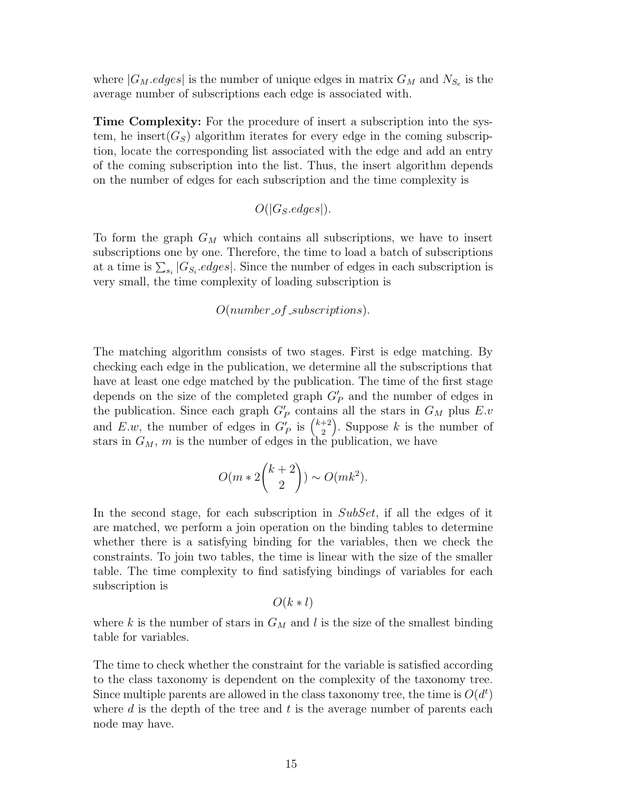where  $|G_M$  *edges* is the number of unique edges in matrix  $G_M$  and  $N_{S_e}$  is the average number of subscriptions each edge is associated with.

Time Complexity: For the procedure of insert a subscription into the system, he insert $(G_S)$  algorithm iterates for every edge in the coming subscription, locate the corresponding list associated with the edge and add an entry of the coming subscription into the list. Thus, the insert algorithm depends on the number of edges for each subscription and the time complexity is

 $O(|G_S. edges|).$ 

To form the graph  $G_M$  which contains all subscriptions, we have to insert subscriptions one by one. Therefore, the time to load a batch of subscriptions at a time is  $\sum_{s_i} |G_{S_i}.edges|$ . Since the number of edges in each subscription is very small, the time complexity of loading subscription is

# $O(number_of\_subscripts)$ .

The matching algorithm consists of two stages. First is edge matching. By checking each edge in the publication, we determine all the subscriptions that have at least one edge matched by the publication. The time of the first stage depends on the size of the completed graph  $G_P'$  and the number of edges in the publication. Since each graph  $G_P'$  contains all the stars in  $G_M$  plus E.v and E.w, the number of edges in  $G_P'$  is  $\binom{k+2}{2}$  $\binom{+2}{2}$ . Suppose k is the number of stars in  $G_M$ , m is the number of edges in the publication, we have

$$
O(m * 2\binom{k+2}{2}) \sim O(mk^2).
$$

In the second stage, for each subscription in  $SubSet$ , if all the edges of it are matched, we perform a join operation on the binding tables to determine whether there is a satisfying binding for the variables, then we check the constraints. To join two tables, the time is linear with the size of the smaller table. The time complexity to find satisfying bindings of variables for each subscription is

$$
O(k * l)
$$

where k is the number of stars in  $G_M$  and l is the size of the smallest binding table for variables.

The time to check whether the constraint for the variable is satisfied according to the class taxonomy is dependent on the complexity of the taxonomy tree. Since multiple parents are allowed in the class taxonomy tree, the time is  $O(d^t)$ where  $d$  is the depth of the tree and  $t$  is the average number of parents each node may have.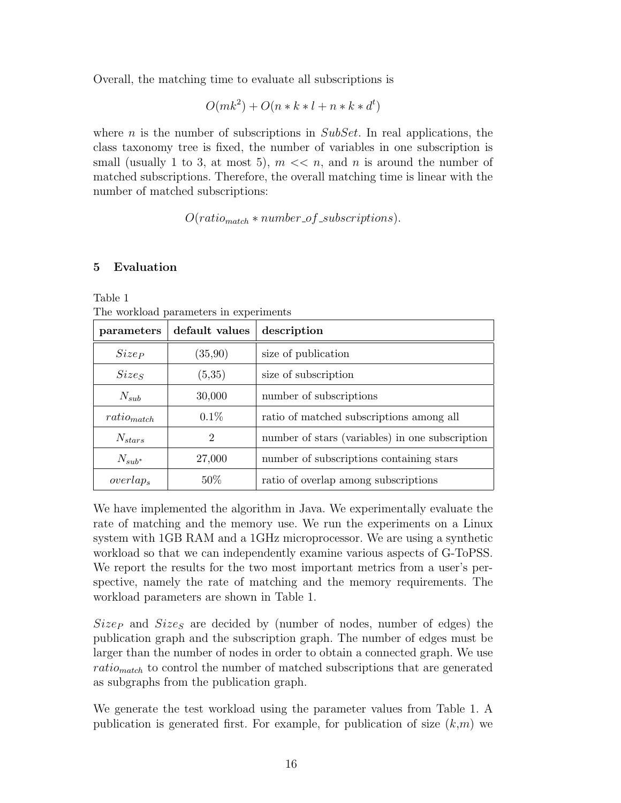Overall, the matching time to evaluate all subscriptions is

$$
O(mk^2) + O(n*k * l + n * k * d^t)
$$

where *n* is the number of subscriptions in  $SubSet$ . In real applications, the class taxonomy tree is fixed, the number of variables in one subscription is small (usually 1 to 3, at most 5),  $m \ll n$ , and n is around the number of matched subscriptions. Therefore, the overall matching time is linear with the number of matched subscriptions:

 $O(ratio_{match} * number_of\_subscripts).$ 

#### 5 Evaluation

| parameters      | default values | description                                     |
|-----------------|----------------|-------------------------------------------------|
| SizeP           | (35,90)        | size of publication                             |
| $Size_S$        | (5,35)         | size of subscription                            |
| $N_{sub}$       | 30,000         | number of subscriptions                         |
| $ratio_{match}$ | $0.1\%$        | ratio of matched subscriptions among all        |
| $N_{stars}$     | $\overline{2}$ | number of stars (variables) in one subscription |
| $N_{sub*}$      | 27,000         | number of subscriptions containing stars        |
| $overlap_s$     | 50%            | ratio of overlap among subscriptions            |

Table 1 The workload parameters in experiments

We have implemented the algorithm in Java. We experimentally evaluate the rate of matching and the memory use. We run the experiments on a Linux system with 1GB RAM and a 1GHz microprocessor. We are using a synthetic workload so that we can independently examine various aspects of G-ToPSS. We report the results for the two most important metrics from a user's perspective, namely the rate of matching and the memory requirements. The workload parameters are shown in Table 1.

 $Size<sub>P</sub>$  and  $Size<sub>S</sub>$  are decided by (number of nodes, number of edges) the publication graph and the subscription graph. The number of edges must be larger than the number of nodes in order to obtain a connected graph. We use  $ratio_{match}$  to control the number of matched subscriptions that are generated as subgraphs from the publication graph.

We generate the test workload using the parameter values from Table 1. A publication is generated first. For example, for publication of size  $(k,m)$  we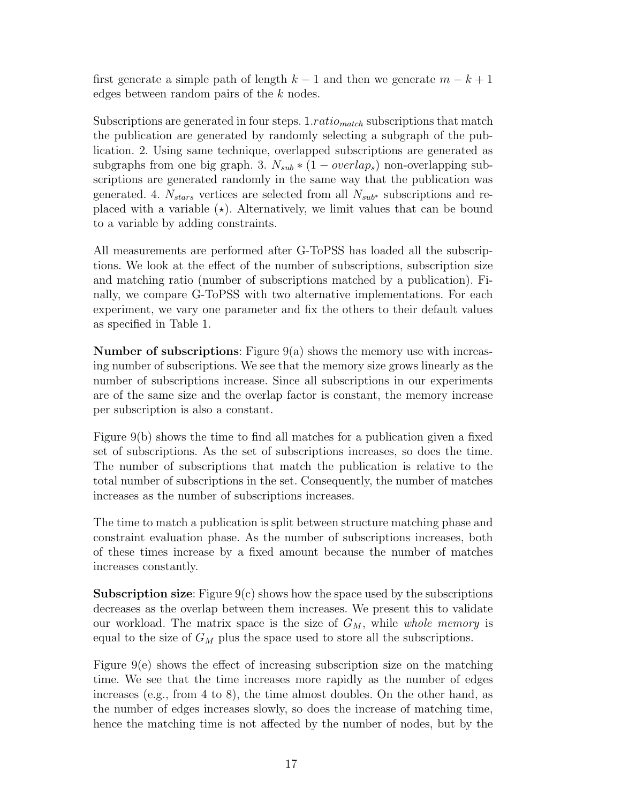first generate a simple path of length  $k-1$  and then we generate  $m-k+1$ edges between random pairs of the k nodes.

Subscriptions are generated in four steps.  $1. ratio_{match}$  subscriptions that match the publication are generated by randomly selecting a subgraph of the publication. 2. Using same technique, overlapped subscriptions are generated as subgraphs from one big graph. 3.  $N_{sub} * (1 - overlap_s)$  non-overlapping subscriptions are generated randomly in the same way that the publication was generated. 4.  $N_{stars}$  vertices are selected from all  $N_{sub*}$  subscriptions and replaced with a variable  $(\star)$ . Alternatively, we limit values that can be bound to a variable by adding constraints.

All measurements are performed after G-ToPSS has loaded all the subscriptions. We look at the effect of the number of subscriptions, subscription size and matching ratio (number of subscriptions matched by a publication). Finally, we compare G-ToPSS with two alternative implementations. For each experiment, we vary one parameter and fix the others to their default values as specified in Table 1.

Number of subscriptions: Figure 9(a) shows the memory use with increasing number of subscriptions. We see that the memory size grows linearly as the number of subscriptions increase. Since all subscriptions in our experiments are of the same size and the overlap factor is constant, the memory increase per subscription is also a constant.

Figure 9(b) shows the time to find all matches for a publication given a fixed set of subscriptions. As the set of subscriptions increases, so does the time. The number of subscriptions that match the publication is relative to the total number of subscriptions in the set. Consequently, the number of matches increases as the number of subscriptions increases.

The time to match a publication is split between structure matching phase and constraint evaluation phase. As the number of subscriptions increases, both of these times increase by a fixed amount because the number of matches increases constantly.

**Subscription size:** Figure  $9(c)$  shows how the space used by the subscriptions decreases as the overlap between them increases. We present this to validate our workload. The matrix space is the size of  $G_M$ , while whole memory is equal to the size of  $G_M$  plus the space used to store all the subscriptions.

Figure 9(e) shows the effect of increasing subscription size on the matching time. We see that the time increases more rapidly as the number of edges increases (e.g., from 4 to 8), the time almost doubles. On the other hand, as the number of edges increases slowly, so does the increase of matching time, hence the matching time is not affected by the number of nodes, but by the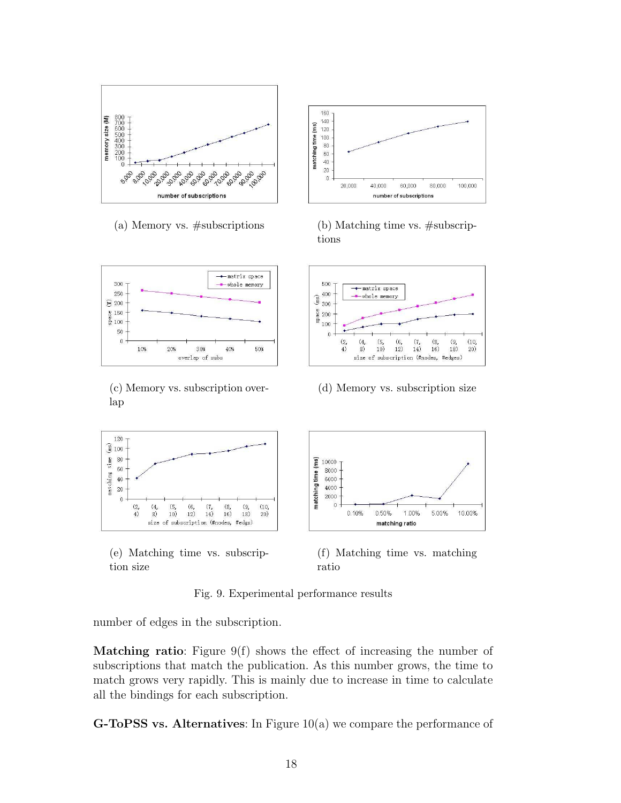



(c) Memory vs. subscription overlap



(e) Matching time vs. subscription size

160  $140$ matching time (ms)  $120$ 100  $\overline{80}$ 60  $40$ 20  $\Omega$ 20,000 100,000 60,000 80,000 40,000 number of subscriptions

(a) Memory vs. #subscriptions (b) Matching time vs. #subscriptions



(d) Memory vs. subscription size



(f) Matching time vs. matching ratio

Fig. 9. Experimental performance results

number of edges in the subscription.

**Matching ratio:** Figure  $9(f)$  shows the effect of increasing the number of subscriptions that match the publication. As this number grows, the time to match grows very rapidly. This is mainly due to increase in time to calculate all the bindings for each subscription.

G-ToPSS vs. Alternatives: In Figure 10(a) we compare the performance of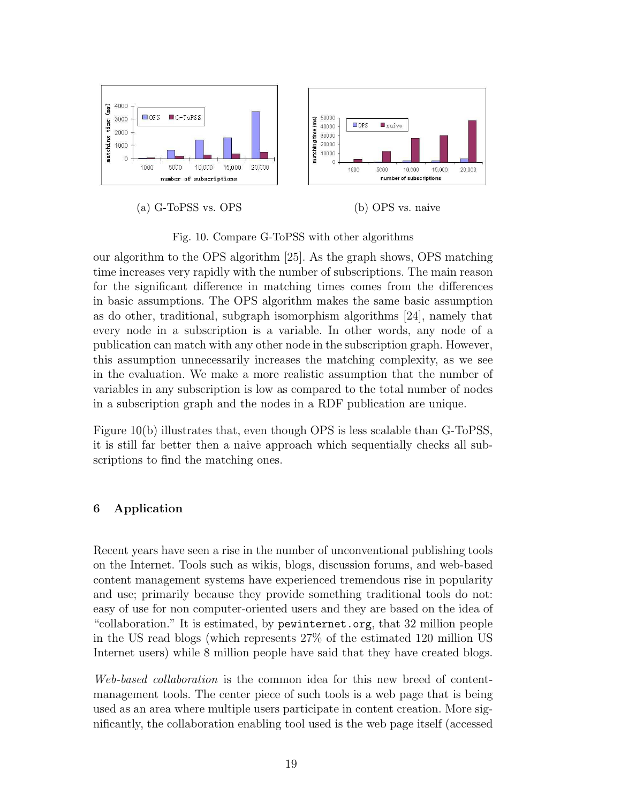

Fig. 10. Compare G-ToPSS with other algorithms

our algorithm to the OPS algorithm [25]. As the graph shows, OPS matching time increases very rapidly with the number of subscriptions. The main reason for the significant difference in matching times comes from the differences in basic assumptions. The OPS algorithm makes the same basic assumption as do other, traditional, subgraph isomorphism algorithms [24], namely that every node in a subscription is a variable. In other words, any node of a publication can match with any other node in the subscription graph. However, this assumption unnecessarily increases the matching complexity, as we see in the evaluation. We make a more realistic assumption that the number of variables in any subscription is low as compared to the total number of nodes in a subscription graph and the nodes in a RDF publication are unique.

Figure 10(b) illustrates that, even though OPS is less scalable than G-ToPSS, it is still far better then a naive approach which sequentially checks all subscriptions to find the matching ones.

## 6 Application

Recent years have seen a rise in the number of unconventional publishing tools on the Internet. Tools such as wikis, blogs, discussion forums, and web-based content management systems have experienced tremendous rise in popularity and use; primarily because they provide something traditional tools do not: easy of use for non computer-oriented users and they are based on the idea of "collaboration." It is estimated, by pewinternet.org, that 32 million people in the US read blogs (which represents 27% of the estimated 120 million US Internet users) while 8 million people have said that they have created blogs.

Web-based collaboration is the common idea for this new breed of contentmanagement tools. The center piece of such tools is a web page that is being used as an area where multiple users participate in content creation. More significantly, the collaboration enabling tool used is the web page itself (accessed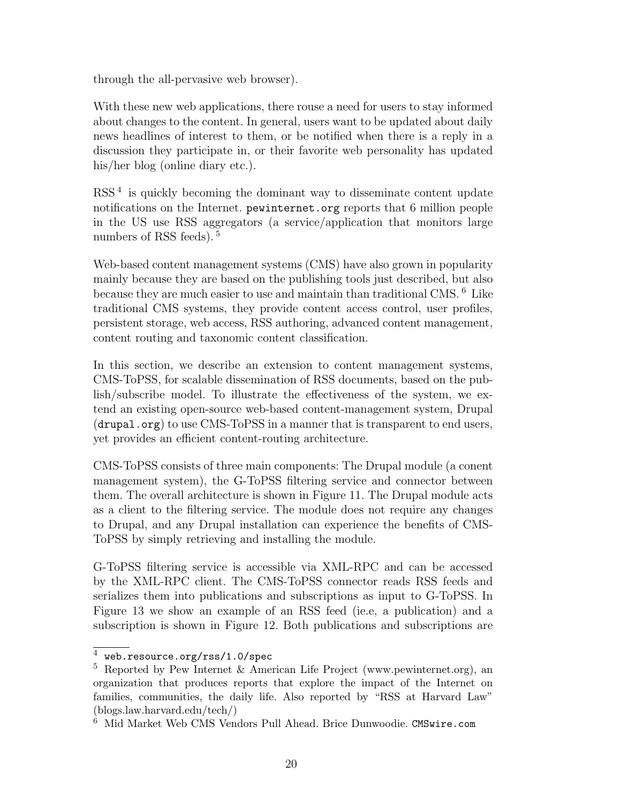through the all-pervasive web browser).

With these new web applications, there rouse a need for users to stay informed about changes to the content. In general, users want to be updated about daily news headlines of interest to them, or be notified when there is a reply in a discussion they participate in, or their favorite web personality has updated his/her blog (online diary etc.).

RSS<sup>4</sup> is quickly becoming the dominant way to disseminate content update notifications on the Internet. pewinternet.org reports that 6 million people in the US use RSS aggregators (a service/application that monitors large numbers of RSS feeds).<sup>5</sup>

Web-based content management systems (CMS) have also grown in popularity mainly because they are based on the publishing tools just described, but also because they are much easier to use and maintain than traditional CMS. <sup>6</sup> Like traditional CMS systems, they provide content access control, user profiles, persistent storage, web access, RSS authoring, advanced content management, content routing and taxonomic content classification.

In this section, we describe an extension to content management systems, CMS-ToPSS, for scalable dissemination of RSS documents, based on the publish/subscribe model. To illustrate the effectiveness of the system, we extend an existing open-source web-based content-management system, Drupal (drupal.org) to use CMS-ToPSS in a manner that is transparent to end users, yet provides an efficient content-routing architecture.

CMS-ToPSS consists of three main components: The Drupal module (a conent management system), the G-ToPSS filtering service and connector between them. The overall architecture is shown in Figure 11. The Drupal module acts as a client to the filtering service. The module does not require any changes to Drupal, and any Drupal installation can experience the benefits of CMS-ToPSS by simply retrieving and installing the module.

G-ToPSS filtering service is accessible via XML-RPC and can be accessed by the XML-RPC client. The CMS-ToPSS connector reads RSS feeds and serializes them into publications and subscriptions as input to G-ToPSS. In Figure 13 we show an example of an RSS feed (ie.e, a publication) and a subscription is shown in Figure 12. Both publications and subscriptions are

 $4$  web.resource.org/rss/1.0/spec

<sup>&</sup>lt;sup>5</sup> Reported by Pew Internet & American Life Project (www.pewinternet.org), an organization that produces reports that explore the impact of the Internet on families, communities, the daily life. Also reported by "RSS at Harvard Law" (blogs.law.harvard.edu/tech/)

<sup>6</sup> Mid Market Web CMS Vendors Pull Ahead. Brice Dunwoodie. CMSwire.com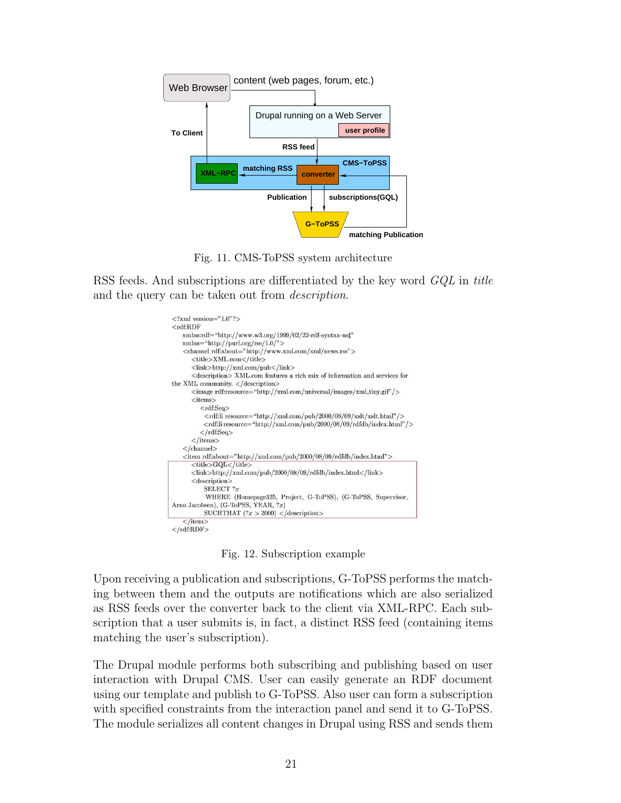

Fig. 11. CMS-ToPSS system architecture

RSS feeds. And subscriptions are differentiated by the key word GQL in title and the query can be taken out from description.



Fig. 12. Subscription example

Upon receiving a publication and subscriptions, G-ToPSS performs the matching between them and the outputs are notifications which are also serialized as RSS feeds over the converter back to the client via XML-RPC. Each subscription that a user submits is, in fact, a distinct RSS feed (containing items matching the user's subscription).

The Drupal module performs both subscribing and publishing based on user interaction with Drupal CMS. User can easily generate an RDF document using our template and publish to G-ToPSS. Also user can form a subscription with specified constraints from the interaction panel and send it to G-ToPSS. The module serializes all content changes in Drupal using RSS and sends them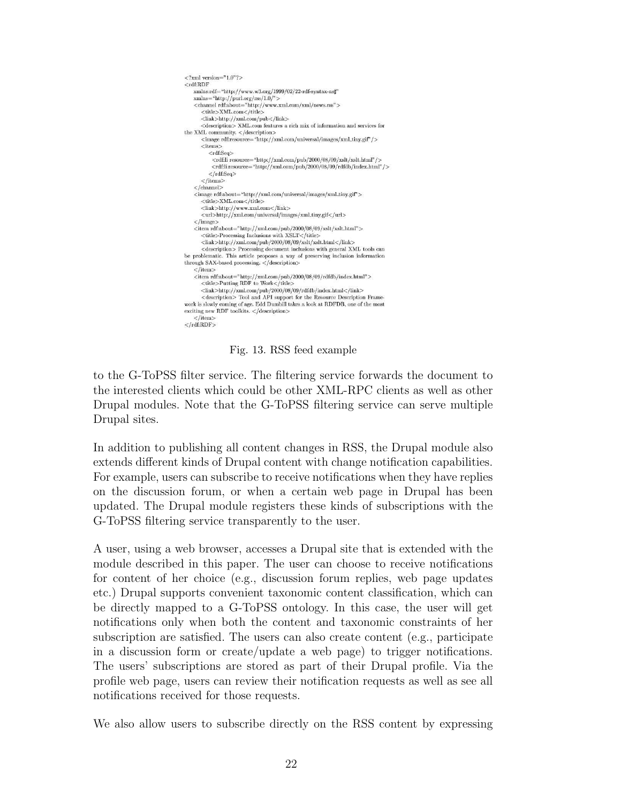```
<? \mathrm{xml} version="1.0"?>
<rdf:RDF
    xmlns:rdf="http://www.w3.org/1999/02/22-rdf-syntax-ns#"
    \begin{array}{l}\n \text{cm} \text{ln} = \text{``http://purl.org/rss/1.0} \text{''}>\\ \n < \text{channel rdf:about} = \text{"http://www.xml.com/xml/news.rss"}> \n \end{array}<title>XML.com</title>
        \langlelink>http://xml.com/pub\langle/link>
        <description> XML.com features a rich mix of information and services for
the XML community. \langle/description>
        <image rdf:resource="http://xml.com/universal/images/xml_tiny.gif"/>
        <items>\langle \text{rdf:Seq} \rangle<rdf:li resource="http://xml.com/pub/2000/08/09/xslt/xslt.html"/> \,<rdf:li resource="http://xml.com/pub/2000/08/09/rdfdb/index.html"/>
            \langle/rdf:Seq>
        \langle/items>
     \langle/channel>
     <image rdf:about="http://xml.com/universal/images/xml_tiny.gif">
        <title>XML.com</title>
        \langlelink>http://www.xml.com</link>
        <url>http://xml.com/universal/images/xml_tiny.gif</url>
     \frac{2}{\sin \theta}<item rdf:about="http://xml.com/pub/2000/08/09/xslt/xslt.html">
        <title>Processing Inclusions with XSLT</title>
        < link>http://xml.com/pub/2000/08/09/xslt/xslt.html</link><description> Processing document inclusions with general XML tools can
be problematic. This article proposes a way of preserving inclusion information
through SAX-based processing. \lt/\text{description}\gt\langle/item>
     \frac{1}{2} item rdf:about="http://xml.com/pub/2000/08/09/rdfdb/index.html">
        <title>Putting RDF to Work</title>
        < link>http://xml.com/pub/2000/08/09/rdfdb/index.html</link><description> Tool and API support for the Resource Description Frame-
work is slowly coming of age. Edd Dumbill takes a look at RDFDB, one of the most
exciting new RDF toolkits. \lt/\text{description}</item></rdf:RDF>
```
Fig. 13. RSS feed example

to the G-ToPSS filter service. The filtering service forwards the document to the interested clients which could be other XML-RPC clients as well as other Drupal modules. Note that the G-ToPSS filtering service can serve multiple Drupal sites.

In addition to publishing all content changes in RSS, the Drupal module also extends different kinds of Drupal content with change notification capabilities. For example, users can subscribe to receive notifications when they have replies on the discussion forum, or when a certain web page in Drupal has been updated. The Drupal module registers these kinds of subscriptions with the G-ToPSS filtering service transparently to the user.

A user, using a web browser, accesses a Drupal site that is extended with the module described in this paper. The user can choose to receive notifications for content of her choice (e.g., discussion forum replies, web page updates etc.) Drupal supports convenient taxonomic content classification, which can be directly mapped to a G-ToPSS ontology. In this case, the user will get notifications only when both the content and taxonomic constraints of her subscription are satisfied. The users can also create content (e.g., participate in a discussion form or create/update a web page) to trigger notifications. The users' subscriptions are stored as part of their Drupal profile. Via the profile web page, users can review their notification requests as well as see all notifications received for those requests.

We also allow users to subscribe directly on the RSS content by expressing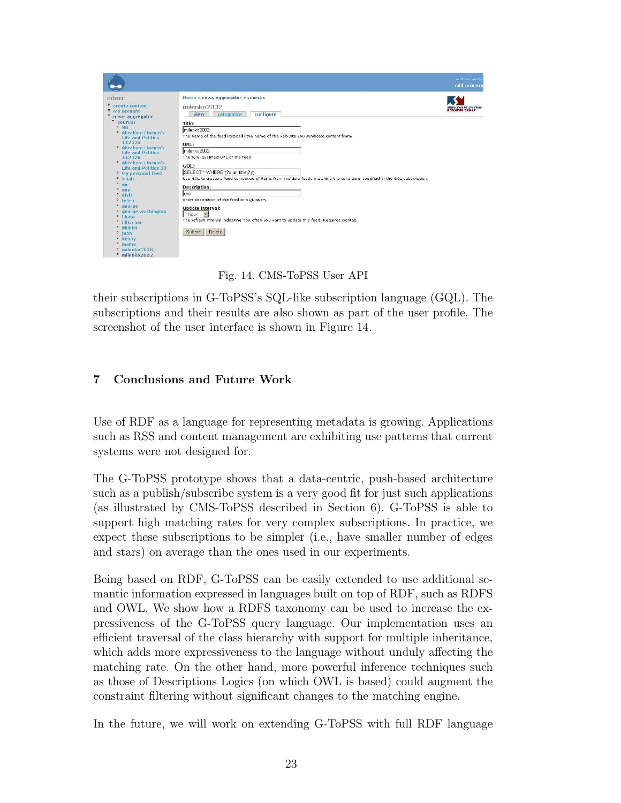|                                                                                                                                                                                                                                                                                                                                                                                                                                                                                                                                                                                                  |                                                                                                                                                                                                                                                                                                                                                                                                                                                                                                                                                                                                                                                                                      | edit secondar<br>edit primary |
|--------------------------------------------------------------------------------------------------------------------------------------------------------------------------------------------------------------------------------------------------------------------------------------------------------------------------------------------------------------------------------------------------------------------------------------------------------------------------------------------------------------------------------------------------------------------------------------------------|--------------------------------------------------------------------------------------------------------------------------------------------------------------------------------------------------------------------------------------------------------------------------------------------------------------------------------------------------------------------------------------------------------------------------------------------------------------------------------------------------------------------------------------------------------------------------------------------------------------------------------------------------------------------------------------|-------------------------------|
| admin<br>$\blacktriangleright$<br>create content<br>$\Box$<br>my account<br>news aggregator<br>$\bullet$ sources<br>$a$ gn<br><sup>a</sup> Ahraham Lincoln's<br><b>Life and Politics</b><br>11212a<br><sup>a</sup> Abraham Lincoln's<br>Life and Politics<br>11212h<br><sup>a</sup> Ahraham Lincoln's<br>Life and Politics 33<br><sup>o</sup> My personal feed<br>۰<br>Neah<br>O.<br>AA<br>ø<br>any<br>elvis<br>۰<br>O.<br>febru<br>B<br>george<br>george washington<br><sup>o</sup> i hate<br>i like her<br>B.<br>۰<br><b>BUILDING</b><br>o<br>iohn<br>B<br>kenny<br>mama<br>milenko 1918<br>o, | Home » news aggregator » sources<br>milenko2002<br>configure<br>view<br>categorize<br>Title:<br>milenko2002<br>The name of the feed; typically the name of the web site you syndicate content from.<br>URL:<br>milenko2002<br>The fully-qualified URL of the feed.<br>GQL:<br>SELECT * WHERE (?x,uri:title,?y)<br>Use GQL to create a feed composed of items from multiple feeds matching the conditions specified in the GQL subscription.<br>Description:<br>lever<br>Short description of the feed or GOL query.<br><b>Update</b> interval:<br>$\cdot$<br>1 hour<br>The refresh interval indicating how often you want to update this feed. Requires crontab.<br>Delete<br>Submit | RESEARCH OROUP                |
| $n$ milenko $2002$                                                                                                                                                                                                                                                                                                                                                                                                                                                                                                                                                                               |                                                                                                                                                                                                                                                                                                                                                                                                                                                                                                                                                                                                                                                                                      |                               |

# Fig. 14. CMS-ToPSS User API

their subscriptions in G-ToPSS's SQL-like subscription language (GQL). The subscriptions and their results are also shown as part of the user profile. The screenshot of the user interface is shown in Figure 14.

# 7 Conclusions and Future Work

Use of RDF as a language for representing metadata is growing. Applications such as RSS and content management are exhibiting use patterns that current systems were not designed for.

The G-ToPSS prototype shows that a data-centric, push-based architecture such as a publish/subscribe system is a very good fit for just such applications (as illustrated by CMS-ToPSS described in Section 6). G-ToPSS is able to support high matching rates for very complex subscriptions. In practice, we expect these subscriptions to be simpler (i.e., have smaller number of edges and stars) on average than the ones used in our experiments.

Being based on RDF, G-ToPSS can be easily extended to use additional semantic information expressed in languages built on top of RDF, such as RDFS and OWL. We show how a RDFS taxonomy can be used to increase the expressiveness of the G-ToPSS query language. Our implementation uses an efficient traversal of the class hierarchy with support for multiple inheritance, which adds more expressiveness to the language without unduly affecting the matching rate. On the other hand, more powerful inference techniques such as those of Descriptions Logics (on which OWL is based) could augment the constraint filtering without significant changes to the matching engine.

In the future, we will work on extending G-ToPSS with full RDF language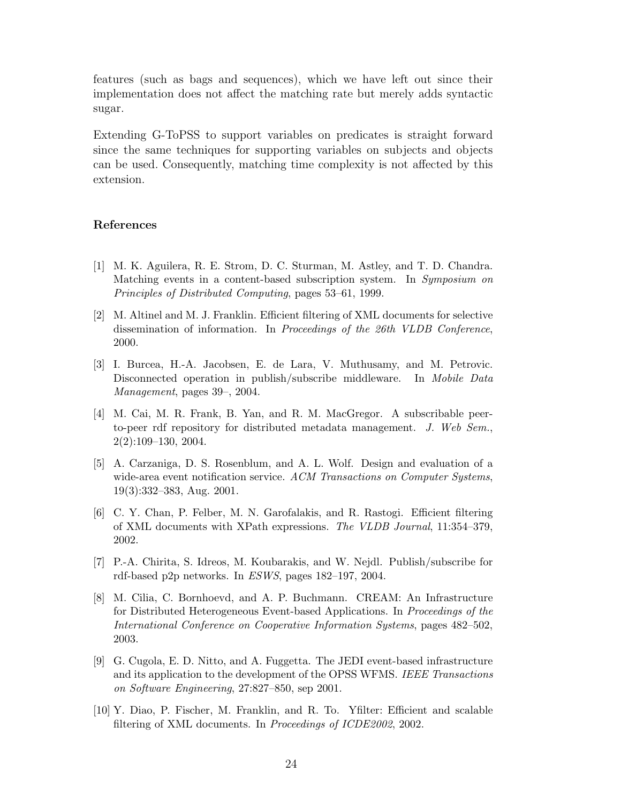features (such as bags and sequences), which we have left out since their implementation does not affect the matching rate but merely adds syntactic sugar.

Extending G-ToPSS to support variables on predicates is straight forward since the same techniques for supporting variables on subjects and objects can be used. Consequently, matching time complexity is not affected by this extension.

#### References

- [1] M. K. Aguilera, R. E. Strom, D. C. Sturman, M. Astley, and T. D. Chandra. Matching events in a content-based subscription system. In Symposium on Principles of Distributed Computing, pages 53–61, 1999.
- [2] M. Altinel and M. J. Franklin. Efficient filtering of XML documents for selective dissemination of information. In Proceedings of the 26th VLDB Conference, 2000.
- [3] I. Burcea, H.-A. Jacobsen, E. de Lara, V. Muthusamy, and M. Petrovic. Disconnected operation in publish/subscribe middleware. In Mobile Data Management, pages 39–, 2004.
- [4] M. Cai, M. R. Frank, B. Yan, and R. M. MacGregor. A subscribable peerto-peer rdf repository for distributed metadata management. J. Web Sem., 2(2):109–130, 2004.
- [5] A. Carzaniga, D. S. Rosenblum, and A. L. Wolf. Design and evaluation of a wide-area event notification service. ACM Transactions on Computer Systems, 19(3):332–383, Aug. 2001.
- [6] C. Y. Chan, P. Felber, M. N. Garofalakis, and R. Rastogi. Efficient filtering of XML documents with XPath expressions. The VLDB Journal, 11:354–379, 2002.
- [7] P.-A. Chirita, S. Idreos, M. Koubarakis, and W. Nejdl. Publish/subscribe for rdf-based p2p networks. In ESWS, pages 182–197, 2004.
- [8] M. Cilia, C. Bornhoevd, and A. P. Buchmann. CREAM: An Infrastructure for Distributed Heterogeneous Event-based Applications. In Proceedings of the International Conference on Cooperative Information Systems, pages 482–502, 2003.
- [9] G. Cugola, E. D. Nitto, and A. Fuggetta. The JEDI event-based infrastructure and its application to the development of the OPSS WFMS. IEEE Transactions on Software Engineering, 27:827–850, sep 2001.
- [10] Y. Diao, P. Fischer, M. Franklin, and R. To. Yfilter: Efficient and scalable filtering of XML documents. In Proceedings of ICDE2002, 2002.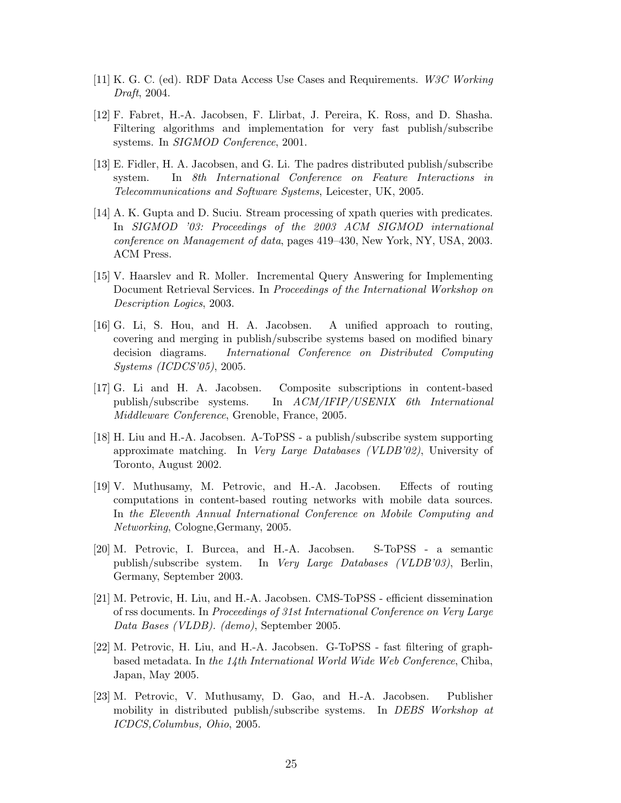- [11] K. G. C. (ed). RDF Data Access Use Cases and Requirements. W3C Working Draft, 2004.
- [12] F. Fabret, H.-A. Jacobsen, F. Llirbat, J. Pereira, K. Ross, and D. Shasha. Filtering algorithms and implementation for very fast publish/subscribe systems. In SIGMOD Conference, 2001.
- [13] E. Fidler, H. A. Jacobsen, and G. Li. The padres distributed publish/subscribe system. In 8th International Conference on Feature Interactions in Telecommunications and Software Systems, Leicester, UK, 2005.
- [14] A. K. Gupta and D. Suciu. Stream processing of xpath queries with predicates. In SIGMOD '03: Proceedings of the 2003 ACM SIGMOD international conference on Management of data, pages 419–430, New York, NY, USA, 2003. ACM Press.
- [15] V. Haarslev and R. Moller. Incremental Query Answering for Implementing Document Retrieval Services. In Proceedings of the International Workshop on Description Logics, 2003.
- [16] G. Li, S. Hou, and H. A. Jacobsen. A unified approach to routing, covering and merging in publish/subscribe systems based on modified binary decision diagrams. International Conference on Distributed Computing Systems (ICDCS'05), 2005.
- [17] G. Li and H. A. Jacobsen. Composite subscriptions in content-based publish/subscribe systems. In ACM/IFIP/USENIX 6th International Middleware Conference, Grenoble, France, 2005.
- [18] H. Liu and H.-A. Jacobsen. A-ToPSS a publish/subscribe system supporting approximate matching. In Very Large Databases (VLDB'02), University of Toronto, August 2002.
- [19] V. Muthusamy, M. Petrovic, and H.-A. Jacobsen. Effects of routing computations in content-based routing networks with mobile data sources. In the Eleventh Annual International Conference on Mobile Computing and Networking, Cologne,Germany, 2005.
- [20] M. Petrovic, I. Burcea, and H.-A. Jacobsen. S-ToPSS a semantic publish/subscribe system. In Very Large Databases (VLDB'03), Berlin, Germany, September 2003.
- [21] M. Petrovic, H. Liu, and H.-A. Jacobsen. CMS-ToPSS efficient dissemination of rss documents. In Proceedings of 31st International Conference on Very Large Data Bases (VLDB). (demo), September 2005.
- [22] M. Petrovic, H. Liu, and H.-A. Jacobsen. G-ToPSS fast filtering of graphbased metadata. In the 14th International World Wide Web Conference, Chiba, Japan, May 2005.
- [23] M. Petrovic, V. Muthusamy, D. Gao, and H.-A. Jacobsen. Publisher mobility in distributed publish/subscribe systems. In DEBS Workshop at ICDCS,Columbus, Ohio, 2005.